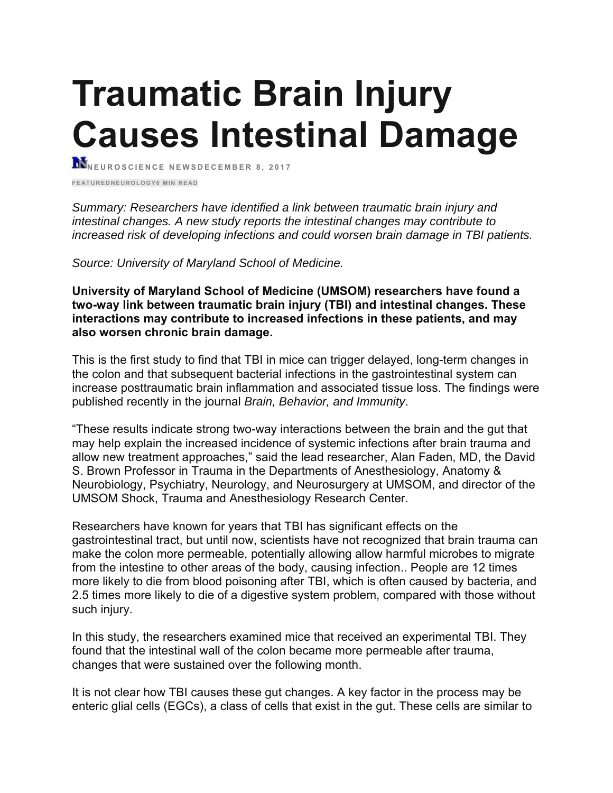# **Traumatic Brain Injury Causes Intestinal Damage**

**NEUROSCIENCE NEWSDECEMBER 8, 2017** 

**FEATUREDNEUROLOGY6 MIN READ** 

*Summary: Researchers have identified a link between traumatic brain injury and intestinal changes. A new study reports the intestinal changes may contribute to increased risk of developing infections and could worsen brain damage in TBI patients.*

*Source: University of Maryland School of Medicine.*

**University of Maryland School of Medicine (UMSOM) researchers have found a two-way link between traumatic brain injury (TBI) and intestinal changes. These interactions may contribute to increased infections in these patients, and may also worsen chronic brain damage.**

This is the first study to find that TBI in mice can trigger delayed, long-term changes in the colon and that subsequent bacterial infections in the gastrointestinal system can increase posttraumatic brain inflammation and associated tissue loss. The findings were published recently in the journal *Brain, Behavior, and Immunity*.

"These results indicate strong two-way interactions between the brain and the gut that may help explain the increased incidence of systemic infections after brain trauma and allow new treatment approaches," said the lead researcher, Alan Faden, MD, the David S. Brown Professor in Trauma in the Departments of Anesthesiology, Anatomy & Neurobiology, Psychiatry, Neurology, and Neurosurgery at UMSOM, and director of the UMSOM Shock, Trauma and Anesthesiology Research Center.

Researchers have known for years that TBI has significant effects on the gastrointestinal tract, but until now, scientists have not recognized that brain trauma can make the colon more permeable, potentially allowing allow harmful microbes to migrate from the intestine to other areas of the body, causing infection.. People are 12 times more likely to die from blood poisoning after TBI, which is often caused by bacteria, and 2.5 times more likely to die of a digestive system problem, compared with those without such injury.

In this study, the researchers examined mice that received an experimental TBI. They found that the intestinal wall of the colon became more permeable after trauma, changes that were sustained over the following month.

It is not clear how TBI causes these gut changes. A key factor in the process may be enteric glial cells (EGCs), a class of cells that exist in the gut. These cells are similar to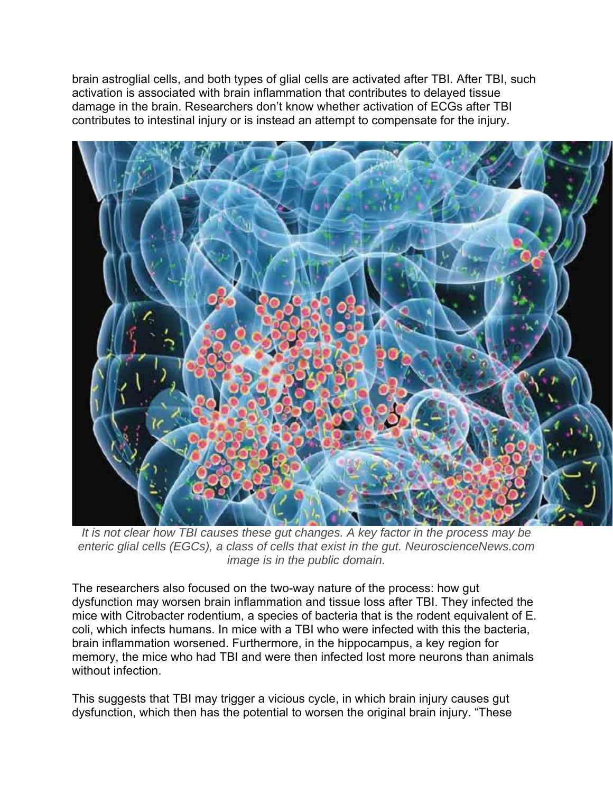brain astroglial cells, and both types of glial cells are activated after TBI. After TBI, such activation is associated with brain inflammation that contributes to delayed tissue damage in the brain. Researchers don't know whether activation of ECGs after TBI contributes to intestinal injury or is instead an attempt to compensate for the injury.



*It is not clear how TBI causes these gut changes. A key factor in the process may be enteric glial cells (EGCs), a class of cells that exist in the gut. NeuroscienceNews.com image is in the public domain.* 

The researchers also focused on the two-way nature of the process: how gut dysfunction may worsen brain inflammation and tissue loss after TBI. They infected the mice with Citrobacter rodentium, a species of bacteria that is the rodent equivalent of E. coli, which infects humans. In mice with a TBI who were infected with this the bacteria, brain inflammation worsened. Furthermore, in the hippocampus, a key region for memory, the mice who had TBI and were then infected lost more neurons than animals without infection.

This suggests that TBI may trigger a vicious cycle, in which brain injury causes gut dysfunction, which then has the potential to worsen the original brain injury. "These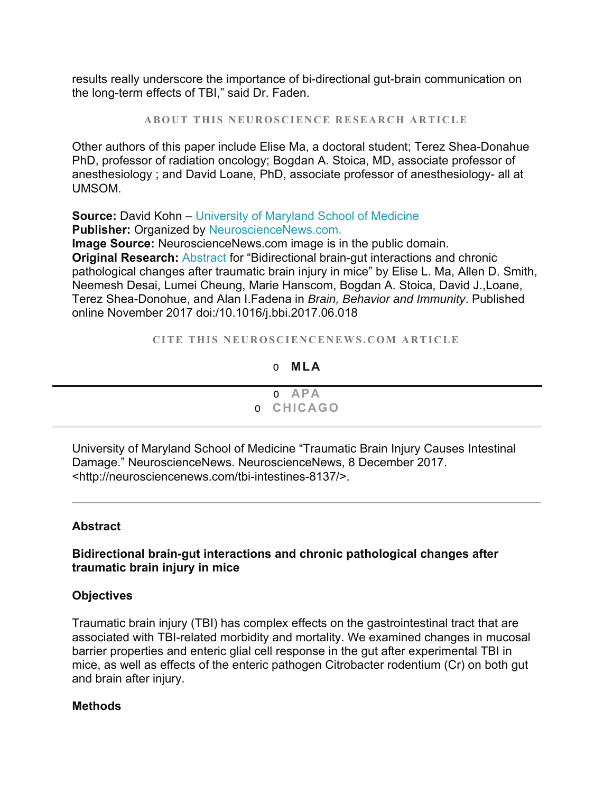results really underscore the importance of bi-directional gut-brain communication on the long-term effects of TBI," said Dr. Faden.

**ABOUT THIS NEUROSCIENCE RESEARCH ARTICLE**

Other authors of this paper include Elise Ma, a doctoral student; Terez Shea-Donahue PhD, professor of radiation oncology; Bogdan A. Stoica, MD, associate professor of anesthesiology ; and David Loane, PhD, associate professor of anesthesiology- all at UMSOM.

#### **Source:** David Kohn – University of Maryland School of Medicine **Publisher:** Organized by NeuroscienceNews.com.

**Image Source:** NeuroscienceNews.com image is in the public domain. **Original Research: Abstract for "Bidirectional brain-gut interactions and chronic** pathological changes after traumatic brain injury in mice" by Elise L. Ma, Allen D. Smith, Neemesh Desai, Lumei Cheung, Marie Hanscom, Bogdan A. Stoica, David J.,Loane, Terez Shea-Donohue, and Alan I.Fadena in *Brain, Behavior and Immunity*. Published online November 2017 doi:/10.1016/j.bbi.2017.06.018

**CITE THIS NEUROSCIENCENEWS.COM ARTICLE**

#### O **MLA**

| o APA<br>O CHICAGO |
|--------------------|

University of Maryland School of Medicine "Traumatic Brain Injury Causes Intestinal Damage." NeuroscienceNews. NeuroscienceNews, 8 December 2017. <http://neurosciencenews.com/tbi-intestines-8137/>.

#### **Abstract**

#### **Bidirectional brain-gut interactions and chronic pathological changes after traumatic brain injury in mice**

#### **Objectives**

Traumatic brain injury (TBI) has complex effects on the gastrointestinal tract that are associated with TBI-related morbidity and mortality. We examined changes in mucosal barrier properties and enteric glial cell response in the gut after experimental TBI in mice, as well as effects of the enteric pathogen Citrobacter rodentium (Cr) on both gut and brain after injury.

#### **Methods**